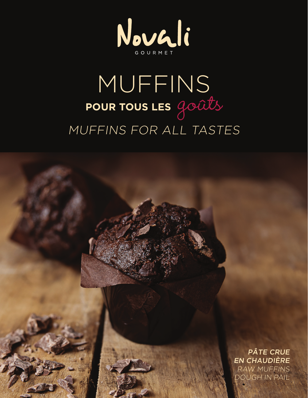

## MUFFINS POUR TOUS LES GOUTS MUFFINS FOR ALL TASTES